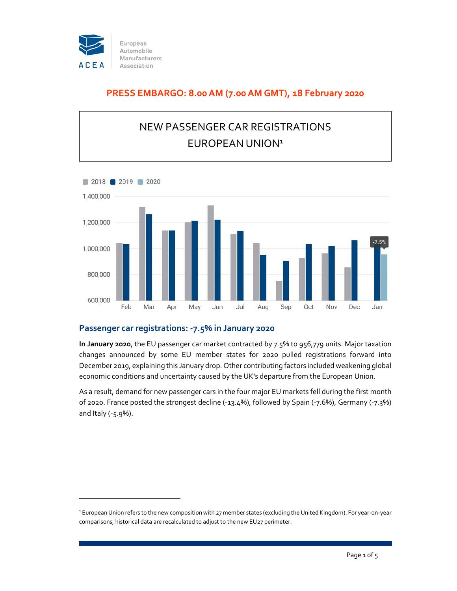

## **PRESS EMBARGO: 8.00 AM (7.00 AM GMT), 18 February 2020**

# NEW PASSENGER CAR REGISTRATIONS EUROPEAN UNION<sup>1</sup>



### **Passenger car registrations: ‐7.5% in January 2020**

**In January 2020**, the EU passenger car market contracted by 7.5% to 956,779 units. Major taxation changes announced by some EU member states for 2020 pulled registrations forward into December 2019, explaining this January drop. Other contributing factors included weakening global economic conditions and uncertainty caused by the UK's departure from the European Union.

As a result, demand for new passenger cars in the four major EU markets fell during the first month of 2020. France posted the strongest decline (‐13.4%), followed by Spain (‐7.6%), Germany (‐7.3%) and Italy (‐5.9%).

<sup>1</sup> EuropeanUnion refers to the new composition with 27 member states (excluding the United Kingdom). For year‐on‐year comparisons, historical data are recalculated to adjust to the new EU27 perimeter.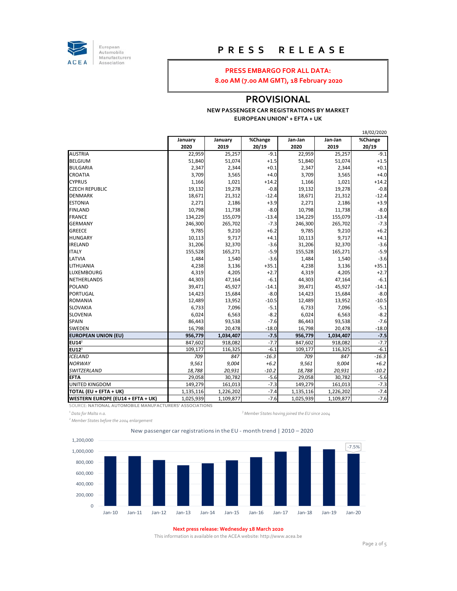

European<br>Automobile Manufacturers Association

## **P R E S S R E L E A S E**

#### **PRESS EMBARGO FOR ALL DATA:**

**8.00 AM (7.00 AM GMT), 18 February 2020**

### **PROVISIONAL**

#### **NEW PASSENGER CAR REGISTRATIONS BY MARKET EUROPEAN UNION1 + EFTA + UK**

|                                   |           |           |         |           |           | 18/02/2020 |
|-----------------------------------|-----------|-----------|---------|-----------|-----------|------------|
|                                   | January   | January   | %Change | Jan-Jan   | Jan-Jan   | %Change    |
|                                   | 2020      | 2019      | 20/19   | 2020      | 2019      | 20/19      |
| <b>AUSTRIA</b>                    | 22,959    | 25,257    | $-9.1$  | 22,959    | 25,257    | $-9.1$     |
| <b>BELGIUM</b>                    | 51,840    | 51,074    | $+1.5$  | 51,840    | 51,074    | $+1.5$     |
| <b>BULGARIA</b>                   | 2,347     | 2,344     | $+0.1$  | 2,347     | 2,344     | $+0.1$     |
| CROATIA                           | 3,709     | 3,565     | $+4.0$  | 3,709     | 3,565     | $+4.0$     |
| <b>CYPRUS</b>                     | 1,166     | 1,021     | $+14.2$ | 1,166     | 1,021     | $+14.2$    |
| <b>CZECH REPUBLIC</b>             | 19,132    | 19,278    | $-0.8$  | 19,132    | 19,278    | $-0.8$     |
| <b>DENMARK</b>                    | 18,671    | 21,312    | $-12.4$ | 18,671    | 21,312    | $-12.4$    |
| <b>ESTONIA</b>                    | 2,271     | 2,186     | $+3.9$  | 2,271     | 2,186     | $+3.9$     |
| <b>FINLAND</b>                    | 10,798    | 11,738    | $-8.0$  | 10,798    | 11,738    | $-8.0$     |
| <b>FRANCE</b>                     | 134,229   | 155,079   | $-13.4$ | 134,229   | 155,079   | $-13.4$    |
| <b>GERMANY</b>                    | 246,300   | 265,702   | $-7.3$  | 246,300   | 265,702   | $-7.3$     |
| GREECE                            | 9,785     | 9,210     | $+6.2$  | 9,785     | 9,210     | $+6.2$     |
| <b>HUNGARY</b>                    | 10,113    | 9,717     | $+4.1$  | 10,113    | 9,717     | $+4.1$     |
| <b>IRELAND</b>                    | 31,206    | 32,370    | $-3.6$  | 31,206    | 32,370    | $-3.6$     |
| <b>ITALY</b>                      | 155,528   | 165,271   | $-5.9$  | 155,528   | 165,271   | $-5.9$     |
| LATVIA                            | 1,484     | 1,540     | $-3.6$  | 1,484     | 1,540     | $-3.6$     |
| LITHUANIA                         | 4,238     | 3,136     | $+35.1$ | 4,238     | 3,136     | $+35.1$    |
| LUXEMBOURG                        | 4,319     | 4,205     | $+2.7$  | 4,319     | 4,205     | $+2.7$     |
| NETHERLANDS                       | 44,303    | 47,164    | $-6.1$  | 44,303    | 47,164    | $-6.1$     |
| <b>POLAND</b>                     | 39,471    | 45,927    | $-14.1$ | 39,471    | 45,927    | $-14.1$    |
| PORTUGAL                          | 14,423    | 15,684    | $-8.0$  | 14,423    | 15,684    | $-8.0$     |
| ROMANIA                           | 12,489    | 13,952    | $-10.5$ | 12,489    | 13,952    | $-10.5$    |
| SLOVAKIA                          | 6,733     | 7,096     | $-5.1$  | 6,733     | 7,096     | $-5.1$     |
| SLOVENIA                          | 6,024     | 6,563     | $-8.2$  | 6,024     | 6,563     | $-8.2$     |
| <b>SPAIN</b>                      | 86,443    | 93,538    | $-7.6$  | 86,443    | 93,538    | $-7.6$     |
| SWEDEN                            | 16,798    | 20,478    | $-18.0$ | 16,798    | 20,478    | $-18.0$    |
| <b>EUROPEAN UNION (EU)</b>        | 956,779   | 1,034,407 | $-7.5$  | 956,779   | 1,034,407 | $-7.5$     |
| EU14 <sup>2</sup>                 | 847,602   | 918,082   | $-7.7$  | 847,602   | 918,082   | $-7.7$     |
| $EU12^3$                          | 109,177   | 116,325   | $-6.1$  | 109,177   | 116,325   | $-6.1$     |
| <b>ICELAND</b>                    | 709       | 847       | $-16.3$ | 709       | 847       | $-16.3$    |
| <b>NORWAY</b>                     | 9,561     | 9,004     | $+6.2$  | 9,561     | 9,004     | $+6.2$     |
| SWITZERLAND                       | 18,788    | 20,931    | $-10.2$ | 18,788    | 20,931    | $-10.2$    |
| <b>EFTA</b>                       | 29,058    | 30,782    | $-5.6$  | 29,058    | 30,782    | $-5.6$     |
| UNITED KINGDOM                    | 149,279   | 161,013   | $-7.3$  | 149,279   | 161,013   | $-7.3$     |
| TOTAL (EU + EFTA + UK)            | 1,135,116 | 1,226,202 | $-7.4$  | 1,135,116 | 1,226,202 | $-7.4$     |
| WESTERN EUROPE (EU14 + EFTA + UK) | 1,025,939 | 1,109,877 | $-7.6$  | 1,025,939 | 1,109,877 | $-7.6$     |

SOURCE: **NATIONAL AUTOMOBILE MANUFACTURERS' ASSOCIATIONS**

*1 Data for Malta n.a. <sup>3</sup>*

*<sup>2</sup> Member States before the 2004 enlargement*

*Member States having joined the EU since 2004*

New passenger car registrations in the EU ‐ month trend | 2010 – 2020



#### **Next press release: Wednesday 18 March 2020**

This information is available on the ACEA website: http://www.acea.be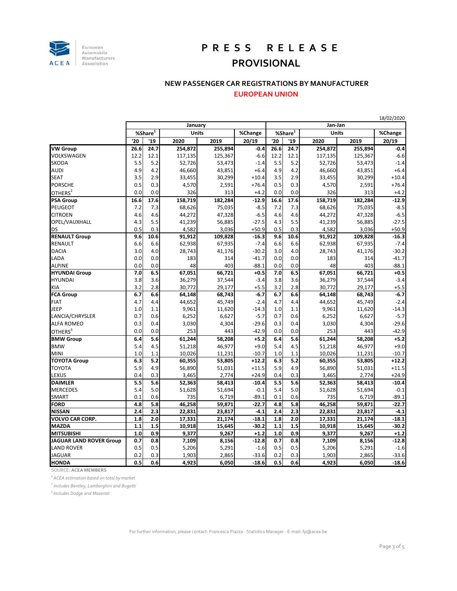

## **P R E S S R E L E A S E PROVISIONAL**

#### **NEW PASSENGER CAR REGISTRATIONS BY MANUFACTURER**

**EUROPEAN UNION**

|                         |         |                       |         |         |         |         |             |         |              | 18/02/2020 |  |
|-------------------------|---------|-----------------------|---------|---------|---------|---------|-------------|---------|--------------|------------|--|
|                         | January |                       |         |         |         | Jan-Jan |             |         |              |            |  |
|                         |         | %Share $\overline{1}$ |         | Units   |         |         | %Share $^1$ |         | <b>Units</b> |            |  |
|                         | '20     | '19                   | 2020    | 2019    | 20/19   | '20     | '19         | 2020    | 2019         | 20/19      |  |
| <b>VW Group</b>         | 26.6    | 24.7                  | 254,872 | 255,894 | $-0.4$  | 26.6    | 24.7        | 254,872 | 255,894      | $-0.4$     |  |
| VOLKSWAGEN              | 12.2    | 12.1                  | 117,135 | 125,367 | $-6.6$  | 12.2    | 12.1        | 117,135 | 125,367      | $-6.6$     |  |
| <b>SKODA</b>            | 5.5     | 5.2                   | 52,726  | 53,473  | $-1.4$  | 5.5     | 5.2         | 52,726  | 53,473       | $-1.4$     |  |
| <b>AUDI</b>             | 4.9     | 4.2                   | 46,660  | 43,851  | $+6.4$  | 4.9     | 4.2         | 46,660  | 43,851       | $+6.4$     |  |
| <b>SEAT</b>             | 3.5     | 2.9                   | 33,455  | 30,299  | $+10.4$ | 3.5     | 2.9         | 33,455  | 30,299       | $+10.4$    |  |
| <b>PORSCHE</b>          | 0.5     | 0.3                   | 4,570   | 2,591   | $+76.4$ | 0.5     | 0.3         | 4,570   | 2,591        | $+76.4$    |  |
| OTHERS <sup>2</sup>     | 0.0     | 0.0                   | 326     | 313     | $+4.2$  | 0.0     | 0.0         | 326     | 313          | $+4.2$     |  |
| PSA Group               | 16.6    | 17.6                  | 158,719 | 182,284 | $-12.9$ | 16.6    | 17.6        | 158,719 | 182,284      | $-12.9$    |  |
| <b>PEUGEOT</b>          | 7.2     | 7.3                   | 68,626  | 75,035  | $-8.5$  | 7.2     | 7.3         | 68,626  | 75,035       | $-8.5$     |  |
| <b>CITROEN</b>          | 4.6     | 4.6                   | 44,272  | 47,328  | $-6.5$  | 4.6     | 4.6         | 44,272  | 47,328       | $-6.5$     |  |
| OPEL/VAUXHALL           | 4.3     | 5.5                   | 41,239  | 56,885  | $-27.5$ | 4.3     | 5.5         | 41,239  | 56,885       | $-27.5$    |  |
| <b>DS</b>               | 0.5     | 0.3                   | 4,582   | 3,036   | $+50.9$ | 0.5     | 0.3         | 4,582   | 3,036        | $+50.9$    |  |
| <b>RENAULT Group</b>    | 9.6     | 10.6                  | 91,912  | 109,828 | $-16.3$ | 9.6     | 10.6        | 91,912  | 109,828      | $-16.3$    |  |
| <b>RENAULT</b>          | 6.6     | 6.6                   | 62,938  | 67,935  | $-7.4$  | 6.6     | 6.6         | 62,938  | 67,935       | $-7.4$     |  |
| <b>DACIA</b>            | 3.0     | 4.0                   | 28,743  | 41,176  | $-30.2$ | 3.0     | 4.0         | 28,743  | 41,176       | $-30.2$    |  |
| LADA                    | 0.0     | 0.0                   | 183     | 314     | $-41.7$ | 0.0     | 0.0         | 183     | 314          | $-41.7$    |  |
| <b>ALPINE</b>           | 0.0     | 0.0                   | 48      | 403     | $-88.1$ | 0.0     | 0.0         | 48      | 403          | $-88.1$    |  |
| <b>HYUNDAI Group</b>    | 7.0     | 6.5                   | 67,051  | 66,721  | $+0.5$  | 7.0     | 6.5         | 67,051  | 66,721       | $+0.5$     |  |
| <b>HYUNDAI</b>          | 3.8     | 3.6                   | 36,279  | 37,544  | $-3.4$  | 3.8     | 3.6         | 36,279  | 37,544       | $-3.4$     |  |
| <b>KIA</b>              | 3.2     | 2.8                   | 30,772  | 29,177  | $+5.5$  | 3.2     | 2.8         | 30,772  | 29,177       | $+5.5$     |  |
| <b>FCA Group</b>        | 6.7     | 6.6                   | 64,148  | 68,743  | $-6.7$  | 6.7     | 6.6         | 64,148  | 68,743       | $-6.7$     |  |
| <b>FIAT</b>             | 4.7     | 4.4                   | 44,652  | 45,749  | $-2.4$  | 4.7     | 4.4         | 44,652  | 45,749       | $-2.4$     |  |
| JEEP                    | 1.0     | 1.1                   | 9,961   | 11,620  | $-14.3$ | 1.0     | 1.1         | 9,961   | 11,620       | $-14.3$    |  |
| LANCIA/CHRYSLER         | 0.7     | 0.6                   | 6,252   | 6,627   | $-5.7$  | 0.7     | 0.6         | 6,252   | 6,627        | $-5.7$     |  |
| <b>ALFA ROMEO</b>       | 0.3     | 0.4                   | 3,030   | 4,304   | $-29.6$ | 0.3     | 0.4         | 3,030   | 4,304        | $-29.6$    |  |
| OTHERS <sup>3</sup>     | 0.0     | 0.0                   | 253     | 443     | $-42.9$ | 0.0     | 0.0         | 253     | 443          | $-42.9$    |  |
| <b>BMW Group</b>        | 6.4     | 5.6                   | 61,244  | 58,208  | $+5.2$  | 6.4     | 5.6         | 61,244  | 58,208       | $+5.2$     |  |
| <b>BMW</b>              | 5.4     | 4.5                   | 51,218  | 46,977  | $+9.0$  | 5.4     | 4.5         | 51,218  | 46,977       | $+9.0$     |  |
| <b>MINI</b>             | 1.0     | 1.1                   | 10,026  | 11,231  | $-10.7$ | 1.0     | 1.1         | 10,026  | 11,231       | $-10.7$    |  |
| <b>TOYOTA Group</b>     | 6.3     | 5.2                   | 60,355  | 53,805  | $+12.2$ | 6.3     | 5.2         | 60,355  | 53,805       | $+12.2$    |  |
| <b>TOYOTA</b>           | 5.9     | 4.9                   | 56,890  | 51,031  | $+11.5$ | 5.9     | 4.9         | 56,890  | 51,031       | $+11.5$    |  |
| LEXUS                   | 0.4     | 0.3                   | 3,465   | 2,774   | $+24.9$ | 0.4     | 0.3         | 3,465   | 2,774        | $+24.9$    |  |
| <b>DAIMLER</b>          | 5.5     | 5.6                   | 52,363  | 58,413  | $-10.4$ | 5.5     | 5.6         | 52,363  | 58,413       | $-10.4$    |  |
| <b>MERCEDES</b>         | 5.4     | 5.0                   | 51,628  | 51,694  | $-0.1$  | 5.4     | 5.0         | 51,628  | 51,694       | $-0.1$     |  |
| <b>SMART</b>            | 0.1     | 0.6                   | 735     | 6,719   | $-89.1$ | 0.1     | 0.6         | 735     | 6,719        | $-89.1$    |  |
| <b>FORD</b>             | 4.8     | 5.8                   | 46,258  | 59,871  | $-22.7$ | 4.8     | 5.8         | 46,258  | 59,871       | $-22.7$    |  |
| <b>NISSAN</b>           | 2.4     | 2.3                   | 22,831  | 23,817  | $-4.1$  | 2.4     | 2.3         | 22,831  | 23,817       | $-4.1$     |  |
| <b>VOLVO CAR CORP.</b>  | 1.8     | 2.0                   | 17,331  | 21,174  | $-18.1$ | 1.8     | 2.0         | 17,331  | 21,174       | $-18.1$    |  |
| <b>MAZDA</b>            | 1.1     | 1.5                   | 10,918  | 15,645  | $-30.2$ | 1.1     | 1.5         | 10,918  | 15,645       | $-30.2$    |  |
| <b>MITSUBISHI</b>       | 1.0     | 0.9                   | 9,377   | 9,267   | $+1.2$  | 1.0     | 0.9         | 9,377   | 9,267        | $+1.2$     |  |
| JAGUAR LAND ROVER Group | 0.7     | 0.8                   | 7,109   | 8,156   | $-12.8$ | 0.7     | 0.8         | 7,109   | 8,156        | $-12.8$    |  |
| <b>LAND ROVER</b>       | 0.5     | 0.5                   | 5,206   | 5,291   | $-1.6$  | 0.5     | 0.5         | 5,206   | 5,291        | $-1.6$     |  |
| <b>JAGUAR</b>           | 0.2     | 0.3                   | 1,903   | 2,865   | $-33.6$ | 0.2     | 0.3         | 1,903   | 2,865        | $-33.6$    |  |
| <b>HONDA</b>            | 0.5     | 0.6                   | 4,923   | 6,050   | $-18.6$ | 0.5     | 0.6         | 4,923   | 6,050        | $-18.6$    |  |

SOURCE: **ACEA MEMBERS**

*1 ACEA estimation based on total by market*

*<sup>2</sup> Includes Bentley, Lamborghini and Bugatti*

*3 Includes Dodge and Maserati*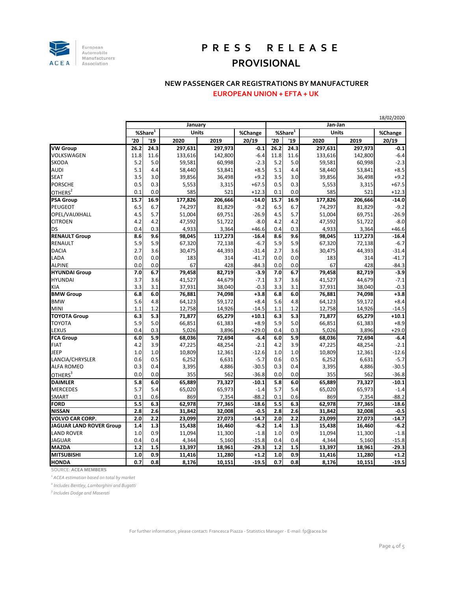

## **P R E S S R E L E A S E PROVISIONAL**

## **NEW PASSENGER CAR REGISTRATIONS BY MANUFACTURER**

**EUROPEAN UNION + EFTA + UK**

|                         |                      |      |              |         |         | 18/02/2020               |      |              |         |         |  |
|-------------------------|----------------------|------|--------------|---------|---------|--------------------------|------|--------------|---------|---------|--|
|                         | January              |      |              |         |         | Jan-Jan                  |      |              |         |         |  |
|                         | % share <sup>1</sup> |      | <b>Units</b> |         | %Change | $%$ Share $\overline{1}$ |      | <b>Units</b> |         | %Change |  |
|                         | '20                  | '19  | 2020         | 2019    | 20/19   | '20                      | '19  | 2020         | 2019    | 20/19   |  |
| <b>VW Group</b>         | 26.2                 | 24.3 | 297,631      | 297,973 | $-0.1$  | 26.2                     | 24.3 | 297,631      | 297,973 | $-0.1$  |  |
| <b>VOLKSWAGEN</b>       | 11.8                 | 11.6 | 133,616      | 142,800 | $-6.4$  | 11.8                     | 11.6 | 133,616      | 142,800 | $-6.4$  |  |
| <b>SKODA</b>            | 5.2                  | 5.0  | 59,581       | 60,998  | $-2.3$  | 5.2                      | 5.0  | 59,581       | 60,998  | $-2.3$  |  |
| <b>AUDI</b>             | 5.1                  | 4.4  | 58,440       | 53,841  | $+8.5$  | 5.1                      | 4.4  | 58,440       | 53,841  | $+8.5$  |  |
| <b>SEAT</b>             | 3.5                  | 3.0  | 39,856       | 36,498  | $+9.2$  | 3.5                      | 3.0  | 39,856       | 36,498  | $+9.2$  |  |
| <b>PORSCHE</b>          | 0.5                  | 0.3  | 5,553        | 3,315   | $+67.5$ | 0.5                      | 0.3  | 5,553        | 3,315   | $+67.5$ |  |
| OTHERS <sup>2</sup>     | 0.1                  | 0.0  | 585          | 521     | $+12.3$ | 0.1                      | 0.0  | 585          | 521     | $+12.3$ |  |
| <b>PSA Group</b>        | 15.7                 | 16.9 | 177,826      | 206,666 | $-14.0$ | 15.7                     | 16.9 | 177,826      | 206,666 | $-14.0$ |  |
| <b>PEUGEOT</b>          | 6.5                  | 6.7  | 74,297       | 81,829  | $-9.2$  | 6.5                      | 6.7  | 74,297       | 81,829  | $-9.2$  |  |
| OPEL/VAUXHALL           | 4.5                  | 5.7  | 51,004       | 69,751  | $-26.9$ | 4.5                      | 5.7  | 51,004       | 69,751  | $-26.9$ |  |
| <b>CITROEN</b>          | 4.2                  | 4.2  | 47,592       | 51,722  | $-8.0$  | 4.2                      | 4.2  | 47,592       | 51,722  | $-8.0$  |  |
| DS                      | 0.4                  | 0.3  | 4,933        | 3,364   | $+46.6$ | 0.4                      | 0.3  | 4,933        | 3,364   | $+46.6$ |  |
| <b>RENAULT Group</b>    | 8.6                  | 9.6  | 98,045       | 117,273 | $-16.4$ | 8.6                      | 9.6  | 98,045       | 117,273 | $-16.4$ |  |
| <b>RENAULT</b>          | 5.9                  | 5.9  | 67,320       | 72,138  | $-6.7$  | 5.9                      | 5.9  | 67,320       | 72,138  | $-6.7$  |  |
| <b>DACIA</b>            | 2.7                  | 3.6  | 30,475       | 44,393  | $-31.4$ | 2.7                      | 3.6  | 30,475       | 44,393  | $-31.4$ |  |
| LADA                    | 0.0                  | 0.0  | 183          | 314     | $-41.7$ | 0.0                      | 0.0  | 183          | 314     | $-41.7$ |  |
| <b>ALPINE</b>           | 0.0                  | 0.0  | 67           | 428     | $-84.3$ | 0.0                      | 0.0  | 67           | 428     | $-84.3$ |  |
| <b>HYUNDAI Group</b>    | 7.0                  | 6.7  | 79,458       | 82,719  | $-3.9$  | 7.0                      | 6.7  | 79,458       | 82,719  | $-3.9$  |  |
| <b>HYUNDAI</b>          | 3.7                  | 3.6  | 41,527       | 44,679  | $-7.1$  | 3.7                      | 3.6  | 41,527       | 44,679  | $-7.1$  |  |
| <b>KIA</b>              | 3.3                  | 3.1  | 37,931       | 38,040  | $-0.3$  | 3.3                      | 3.1  | 37,931       | 38,040  | $-0.3$  |  |
| <b>BMW Group</b>        | 6.8                  | 6.0  | 76,881       | 74,098  | $+3.8$  | 6.8                      | 6.0  | 76,881       | 74,098  | $+3.8$  |  |
| <b>BMW</b>              | 5.6                  | 4.8  | 64,123       | 59,172  | $+8.4$  | 5.6                      | 4.8  | 64,123       | 59,172  | $+8.4$  |  |
| <b>MINI</b>             | 1.1                  | 1.2  | 12,758       | 14,926  | $-14.5$ | 1.1                      | 1.2  | 12,758       | 14,926  | $-14.5$ |  |
| <b>TOYOTA Group</b>     | 6.3                  | 5.3  | 71,877       | 65,279  | $+10.1$ | 6.3                      | 5.3  | 71,877       | 65,279  | $+10.1$ |  |
| <b>TOYOTA</b>           | 5.9                  | 5.0  | 66,851       | 61,383  | $+8.9$  | 5.9                      | 5.0  | 66,851       | 61,383  | $+8.9$  |  |
| <b>LEXUS</b>            | 0.4                  | 0.3  | 5,026        | 3,896   | $+29.0$ | 0.4                      | 0.3  | 5,026        | 3,896   | $+29.0$ |  |
| <b>FCA Group</b>        | 6.0                  | 5.9  | 68,036       | 72,694  | $-6.4$  | 6.0                      | 5.9  | 68,036       | 72,694  | $-6.4$  |  |
| <b>FIAT</b>             | 4.2                  | 3.9  | 47,225       | 48,254  | $-2.1$  | 4.2                      | 3.9  | 47,225       | 48,254  | $-2.1$  |  |
| JEEP                    | 1.0                  | 1.0  | 10,809       | 12,361  | $-12.6$ | 1.0                      | 1.0  | 10,809       | 12,361  | $-12.6$ |  |
| LANCIA/CHRYSLER         | 0.6                  | 0.5  | 6,252        | 6,631   | $-5.7$  | 0.6                      | 0.5  | 6,252        | 6,631   | $-5.7$  |  |
| <b>ALFA ROMEO</b>       | 0.3                  | 0.4  | 3,395        | 4,886   | $-30.5$ | 0.3                      | 0.4  | 3,395        | 4,886   | $-30.5$ |  |
| OTHERS <sup>3</sup>     | 0.0                  | 0.0  | 355          | 562     | $-36.8$ | 0.0                      | 0.0  | 355          | 562     | $-36.8$ |  |
| <b>DAIMLER</b>          | 5.8                  | 6.0  | 65,889       | 73,327  | $-10.1$ | 5.8                      | 6.0  | 65,889       | 73,327  | $-10.1$ |  |
| <b>MERCEDES</b>         | 5.7                  | 5.4  | 65,020       | 65,973  | $-1.4$  | 5.7                      | 5.4  | 65,020       | 65,973  | $-1.4$  |  |
| <b>SMART</b>            | 0.1                  | 0.6  | 869          | 7,354   | $-88.2$ | 0.1                      | 0.6  | 869          | 7,354   | $-88.2$ |  |
| <b>FORD</b>             | 5.5                  | 6.3  | 62,978       | 77,365  | $-18.6$ | 5.5                      | 6.3  | 62,978       | 77,365  | $-18.6$ |  |
| <b>NISSAN</b>           | 2.8                  | 2.6  | 31,842       | 32,008  | $-0.5$  | 2.8                      | 2.6  | 31,842       | 32,008  | $-0.5$  |  |
| <b>VOLVO CAR CORP.</b>  | 2.0                  | 2.2  | 23,099       | 27,073  | $-14.7$ | 2.0                      | 2.2  | 23,099       | 27,073  | $-14.7$ |  |
| JAGUAR LAND ROVER Group | 1.4                  | 1.3  | 15,438       | 16,460  | $-6.2$  | 1.4                      | 1.3  | 15,438       | 16,460  | $-6.2$  |  |
| <b>LAND ROVER</b>       | 1.0                  | 0.9  | 11,094       | 11,300  | $-1.8$  | 1.0                      | 0.9  | 11,094       | 11,300  | $-1.8$  |  |
| <b>JAGUAR</b>           | 0.4                  | 0.4  | 4,344        | 5,160   | $-15.8$ | 0.4                      | 0.4  | 4,344        | 5,160   | $-15.8$ |  |
| <b>MAZDA</b>            | 1.2                  | 1.5  | 13,397       | 18,961  | $-29.3$ | 1.2                      | 1.5  | 13,397       | 18,961  | $-29.3$ |  |
| <b>MITSUBISHI</b>       | 1.0                  | 0.9  | 11,416       | 11,280  | $+1.2$  | 1.0                      | 0.9  | 11,416       | 11,280  | $+1.2$  |  |
| <b>HONDA</b>            | 0.7                  | 0.8  | 8,176        | 10,151  | $-19.5$ | 0.7                      | 0.8  | 8,176        | 10,151  | $-19.5$ |  |

SOURCE: **ACEA MEMBERS**

*1 ACEA estimation based on total by market*

*<sup>2</sup> Includes Bentley, Lamborghini and Bugatti*

*3 Includes Dodge and Maserati*